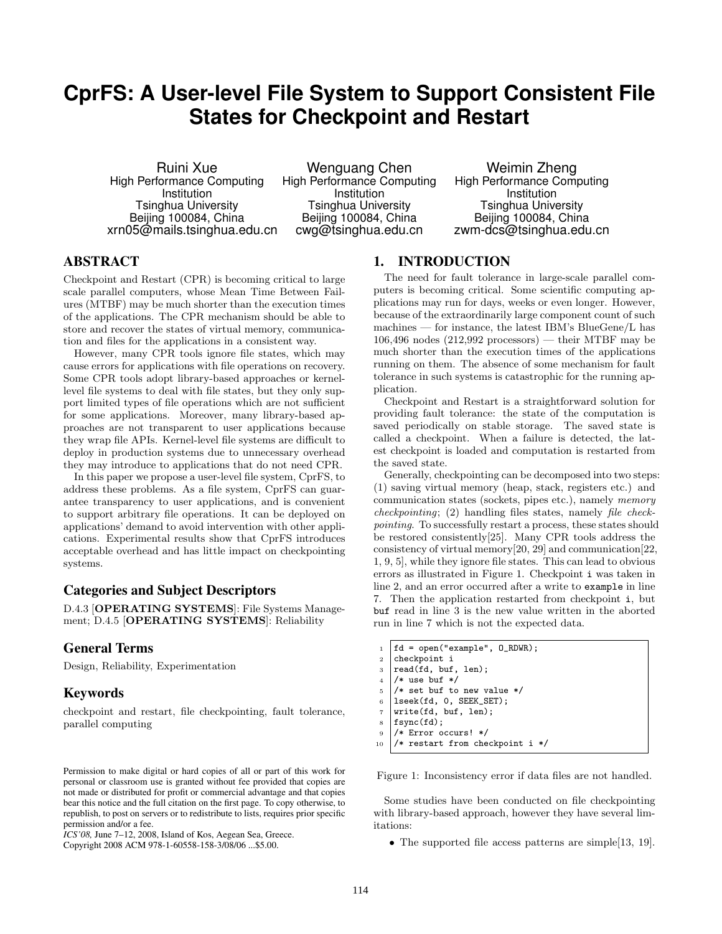# **CprFS: A User-level File System to Support Consistent File States for Checkpoint and Restart**

Ruini Xue High Performance Computing Institution Tsinghua University Beijing 100084, China xrn05@mails.tsinghua.edu.cn

Wenguang Chen High Performance Computing Institution Tsinghua University Beijing 100084, China cwg@tsinghua.edu.cn

Weimin Zheng High Performance Computing Institution Tsinghua University Beijing 100084, China zwm-dcs@tsinghua.edu.cn

# ABSTRACT

Checkpoint and Restart (CPR) is becoming critical to large scale parallel computers, whose Mean Time Between Failures (MTBF) may be much shorter than the execution times of the applications. The CPR mechanism should be able to store and recover the states of virtual memory, communication and files for the applications in a consistent way.

However, many CPR tools ignore file states, which may cause errors for applications with file operations on recovery. Some CPR tools adopt library-based approaches or kernellevel file systems to deal with file states, but they only support limited types of file operations which are not sufficient for some applications. Moreover, many library-based approaches are not transparent to user applications because they wrap file APIs. Kernel-level file systems are difficult to deploy in production systems due to unnecessary overhead they may introduce to applications that do not need CPR.

In this paper we propose a user-level file system, CprFS, to address these problems. As a file system, CprFS can guarantee transparency to user applications, and is convenient to support arbitrary file operations. It can be deployed on applications' demand to avoid intervention with other applications. Experimental results show that CprFS introduces acceptable overhead and has little impact on checkpointing systems.

# Categories and Subject Descriptors

D.4.3 [OPERATING SYSTEMS]: File Systems Management; D.4.5 [OPERATING SYSTEMS]: Reliability

# General Terms

Design, Reliability, Experimentation

## Keywords

checkpoint and restart, file checkpointing, fault tolerance, parallel computing

Copyright 2008 ACM 978-1-60558-158-3/08/06 ...\$5.00.

# 1. INTRODUCTION

The need for fault tolerance in large-scale parallel computers is becoming critical. Some scientific computing applications may run for days, weeks or even longer. However, because of the extraordinarily large component count of such machines — for instance, the latest IBM's BlueGene/L has  $106,496$  nodes  $(212.992$  processors) — their MTBF may be much shorter than the execution times of the applications running on them. The absence of some mechanism for fault tolerance in such systems is catastrophic for the running application.

Checkpoint and Restart is a straightforward solution for providing fault tolerance: the state of the computation is saved periodically on stable storage. The saved state is called a checkpoint. When a failure is detected, the latest checkpoint is loaded and computation is restarted from the saved state.

Generally, checkpointing can be decomposed into two steps: (1) saving virtual memory (heap, stack, registers etc.) and communication states (sockets, pipes etc.), namely memory checkpointing; (2) handling files states, namely file checkpointing. To successfully restart a process, these states should be restored consistently[25]. Many CPR tools address the consistency of virtual memory[20, 29] and communication[22, 1, 9, 5], while they ignore file states. This can lead to obvious errors as illustrated in Figure 1. Checkpoint i was taken in line 2, and an error occurred after a write to example in line 7. Then the application restarted from checkpoint i, but buf read in line 3 is the new value written in the aborted run in line 7 which is not the expected data.

|                | $1$   fd = open("example", $0$ _RDWR);   |
|----------------|------------------------------------------|
| $\overline{2}$ | checkpoint i                             |
|                | $\beta$ read(fd, buf, len);              |
|                | $4$ /* use buf */                        |
|                | $5$ /* set buf to new value */           |
|                | $6$   lseek(fd, 0, SEEK_SET);            |
|                | $7$ write(fd, buf, len);                 |
|                | $\ s \   \ \text{fsync}(\text{fd}) \; ;$ |
|                | $9$ /* Error occurs! */                  |
|                | $10$ /* restart from checkpoint i */     |

Figure 1: Inconsistency error if data files are not handled.

Some studies have been conducted on file checkpointing with library-based approach, however they have several limitations:

• The supported file access patterns are simple[13, 19].

Permission to make digital or hard copies of all or part of this work for personal or classroom use is granted without fee provided that copies are not made or distributed for profit or commercial advantage and that copies bear this notice and the full citation on the first page. To copy otherwise, to republish, to post on servers or to redistribute to lists, requires prior specific permission and/or a fee.

*ICS'08,* June 7–12, 2008, Island of Kos, Aegean Sea, Greece.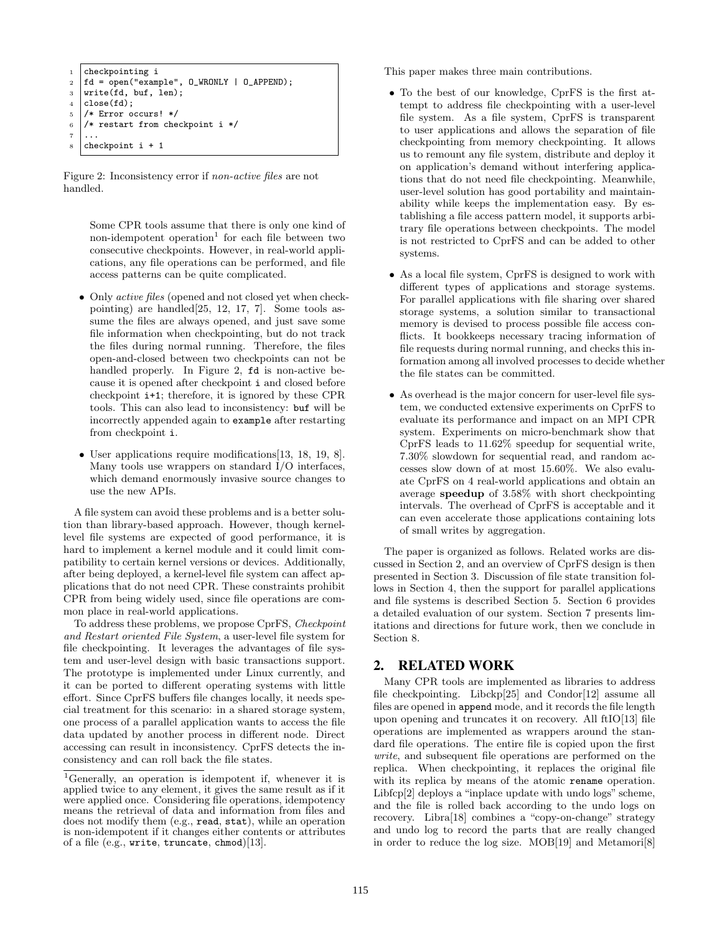```
1 checkpointing i
2 \mid fd = open("example", 0_WRONLY | 0_APPEND);3 \vert write(fd, buf, len);
4 \vert close(fd);5 /* Error occurs! */
6 /* restart from checkpoint i */
7 \mid \ldotscheckpoint i + 1
```
Figure 2: Inconsistency error if non-active files are not handled.

Some CPR tools assume that there is only one kind of non-idempotent operation<sup>1</sup> for each file between two consecutive checkpoints. However, in real-world applications, any file operations can be performed, and file access patterns can be quite complicated.

- Only *active files* (opened and not closed yet when checkpointing) are handled[25, 12, 17, 7]. Some tools assume the files are always opened, and just save some file information when checkpointing, but do not track the files during normal running. Therefore, the files open-and-closed between two checkpoints can not be handled properly. In Figure 2, fd is non-active because it is opened after checkpoint i and closed before checkpoint i+1; therefore, it is ignored by these CPR tools. This can also lead to inconsistency: buf will be incorrectly appended again to example after restarting from checkpoint i.
- User applications require modifications [13, 18, 19, 8]. Many tools use wrappers on standard I/O interfaces, which demand enormously invasive source changes to use the new APIs.

A file system can avoid these problems and is a better solution than library-based approach. However, though kernellevel file systems are expected of good performance, it is hard to implement a kernel module and it could limit compatibility to certain kernel versions or devices. Additionally, after being deployed, a kernel-level file system can affect applications that do not need CPR. These constraints prohibit CPR from being widely used, since file operations are common place in real-world applications.

To address these problems, we propose CprFS, Checkpoint and Restart oriented File System, a user-level file system for file checkpointing. It leverages the advantages of file system and user-level design with basic transactions support. The prototype is implemented under Linux currently, and it can be ported to different operating systems with little effort. Since CprFS buffers file changes locally, it needs special treatment for this scenario: in a shared storage system, one process of a parallel application wants to access the file data updated by another process in different node. Direct accessing can result in inconsistency. CprFS detects the inconsistency and can roll back the file states.

This paper makes three main contributions.

- To the best of our knowledge, CprFS is the first attempt to address file checkpointing with a user-level file system. As a file system, CprFS is transparent to user applications and allows the separation of file checkpointing from memory checkpointing. It allows us to remount any file system, distribute and deploy it on application's demand without interfering applications that do not need file checkpointing. Meanwhile, user-level solution has good portability and maintainability while keeps the implementation easy. By establishing a file access pattern model, it supports arbitrary file operations between checkpoints. The model is not restricted to CprFS and can be added to other systems.
- As a local file system, CprFS is designed to work with different types of applications and storage systems. For parallel applications with file sharing over shared storage systems, a solution similar to transactional memory is devised to process possible file access conflicts. It bookkeeps necessary tracing information of file requests during normal running, and checks this information among all involved processes to decide whether the file states can be committed.
- As overhead is the major concern for user-level file system, we conducted extensive experiments on CprFS to evaluate its performance and impact on an MPI CPR system. Experiments on micro-benchmark show that CprFS leads to 11.62% speedup for sequential write, 7.30% slowdown for sequential read, and random accesses slow down of at most 15.60%. We also evaluate CprFS on 4 real-world applications and obtain an average speedup of 3.58% with short checkpointing intervals. The overhead of CprFS is acceptable and it can even accelerate those applications containing lots of small writes by aggregation.

The paper is organized as follows. Related works are discussed in Section 2, and an overview of CprFS design is then presented in Section 3. Discussion of file state transition follows in Section 4, then the support for parallel applications and file systems is described Section 5. Section 6 provides a detailed evaluation of our system. Section 7 presents limitations and directions for future work, then we conclude in Section 8.

## 2. RELATED WORK

Many CPR tools are implemented as libraries to address file checkpointing. Libckp[25] and Condor[12] assume all files are opened in append mode, and it records the file length upon opening and truncates it on recovery. All ftIO[13] file operations are implemented as wrappers around the standard file operations. The entire file is copied upon the first write, and subsequent file operations are performed on the replica. When checkpointing, it replaces the original file with its replica by means of the atomic rename operation. Libfcp[2] deploys a "inplace update with undo logs" scheme, and the file is rolled back according to the undo logs on recovery. Libra[18] combines a "copy-on-change" strategy and undo log to record the parts that are really changed in order to reduce the log size. MOB[19] and Metamori[8]

<sup>&</sup>lt;sup>1</sup>Generally, an operation is idempotent if, whenever it is applied twice to any element, it gives the same result as if it were applied once. Considering file operations, idempotency means the retrieval of data and information from files and does not modify them (e.g., read, stat), while an operation is non-idempotent if it changes either contents or attributes of a file (e.g., write, truncate, chmod)[13].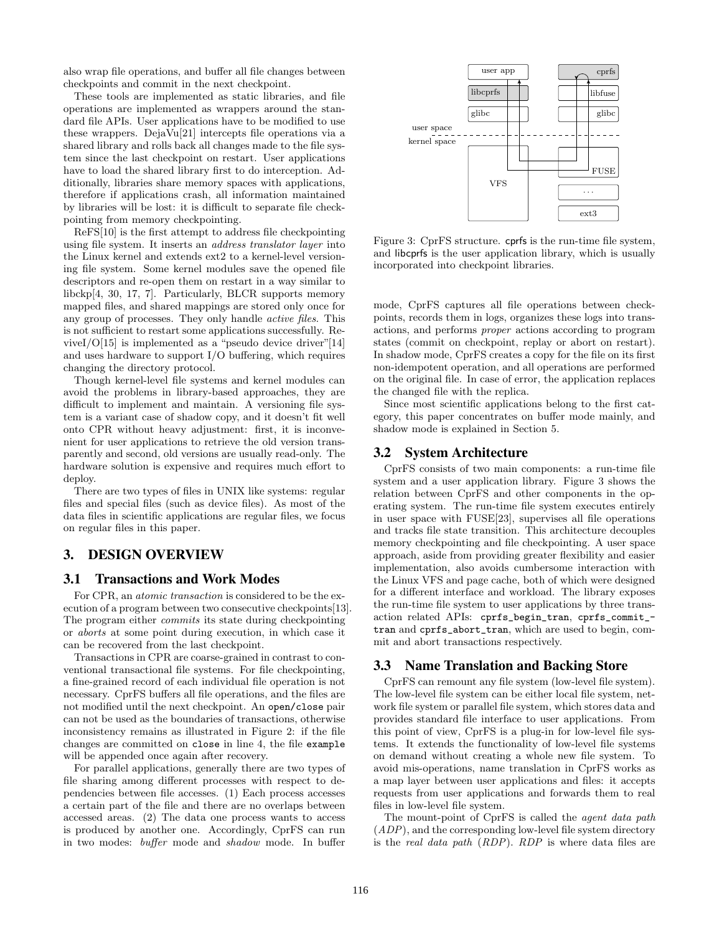also wrap file operations, and buffer all file changes between checkpoints and commit in the next checkpoint.

These tools are implemented as static libraries, and file operations are implemented as wrappers around the standard file APIs. User applications have to be modified to use these wrappers. DejaVu[21] intercepts file operations via a shared library and rolls back all changes made to the file system since the last checkpoint on restart. User applications have to load the shared library first to do interception. Additionally, libraries share memory spaces with applications, therefore if applications crash, all information maintained by libraries will be lost: it is difficult to separate file checkpointing from memory checkpointing.

ReFS[10] is the first attempt to address file checkpointing using file system. It inserts an address translator layer into the Linux kernel and extends ext2 to a kernel-level versioning file system. Some kernel modules save the opened file descriptors and re-open them on restart in a way similar to libckp[4, 30, 17, 7]. Particularly, BLCR supports memory mapped files, and shared mappings are stored only once for any group of processes. They only handle active files. This is not sufficient to restart some applications successfully. ReviveI/O[15] is implemented as a "pseudo device driver"[14] and uses hardware to support I/O buffering, which requires changing the directory protocol.

Though kernel-level file systems and kernel modules can avoid the problems in library-based approaches, they are difficult to implement and maintain. A versioning file system is a variant case of shadow copy, and it doesn't fit well onto CPR without heavy adjustment: first, it is inconvenient for user applications to retrieve the old version transparently and second, old versions are usually read-only. The hardware solution is expensive and requires much effort to deploy.

There are two types of files in UNIX like systems: regular files and special files (such as device files). As most of the data files in scientific applications are regular files, we focus on regular files in this paper.

# 3. DESIGN OVERVIEW

#### 3.1 Transactions and Work Modes

For CPR, an atomic transaction is considered to be the execution of a program between two consecutive checkpoints[13]. The program either commits its state during checkpointing or aborts at some point during execution, in which case it can be recovered from the last checkpoint.

Transactions in CPR are coarse-grained in contrast to conventional transactional file systems. For file checkpointing, a fine-grained record of each individual file operation is not necessary. CprFS buffers all file operations, and the files are not modified until the next checkpoint. An open/close pair can not be used as the boundaries of transactions, otherwise inconsistency remains as illustrated in Figure 2: if the file changes are committed on close in line 4, the file example will be appended once again after recovery.

For parallel applications, generally there are two types of file sharing among different processes with respect to dependencies between file accesses. (1) Each process accesses a certain part of the file and there are no overlaps between accessed areas. (2) The data one process wants to access is produced by another one. Accordingly, CprFS can run in two modes: buffer mode and shadow mode. In buffer



Figure 3: CprFS structure. cprfs is the run-time file system, and libcprfs is the user application library, which is usually incorporated into checkpoint libraries.

mode, CprFS captures all file operations between checkpoints, records them in logs, organizes these logs into transactions, and performs proper actions according to program states (commit on checkpoint, replay or abort on restart). In shadow mode, CprFS creates a copy for the file on its first non-idempotent operation, and all operations are performed on the original file. In case of error, the application replaces the changed file with the replica.

Since most scientific applications belong to the first category, this paper concentrates on buffer mode mainly, and shadow mode is explained in Section 5.

#### 3.2 System Architecture

CprFS consists of two main components: a run-time file system and a user application library. Figure 3 shows the relation between CprFS and other components in the operating system. The run-time file system executes entirely in user space with FUSE[23], supervises all file operations and tracks file state transition. This architecture decouples memory checkpointing and file checkpointing. A user space approach, aside from providing greater flexibility and easier implementation, also avoids cumbersome interaction with the Linux VFS and page cache, both of which were designed for a different interface and workload. The library exposes the run-time file system to user applications by three transaction related APIs: cprfs\_begin\_tran, cprfs\_commit\_ tran and cprfs\_abort\_tran, which are used to begin, commit and abort transactions respectively.

#### 3.3 Name Translation and Backing Store

CprFS can remount any file system (low-level file system). The low-level file system can be either local file system, network file system or parallel file system, which stores data and provides standard file interface to user applications. From this point of view, CprFS is a plug-in for low-level file systems. It extends the functionality of low-level file systems on demand without creating a whole new file system. To avoid mis-operations, name translation in CprFS works as a map layer between user applications and files: it accepts requests from user applications and forwards them to real files in low-level file system.

The mount-point of CprFS is called the agent data path (ADP), and the corresponding low-level file system directory is the real data path (RDP). RDP is where data files are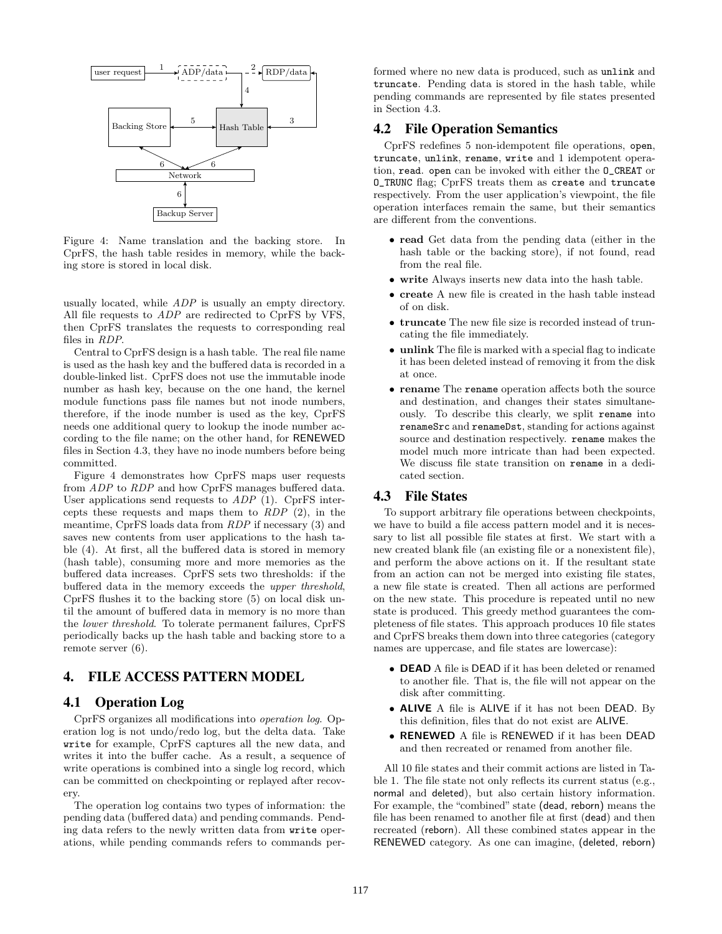

Figure 4: Name translation and the backing store. In CprFS, the hash table resides in memory, while the backing store is stored in local disk.

usually located, while ADP is usually an empty directory. All file requests to ADP are redirected to CprFS by VFS, then CprFS translates the requests to corresponding real files in RDP.

Central to CprFS design is a hash table. The real file name is used as the hash key and the buffered data is recorded in a double-linked list. CprFS does not use the immutable inode number as hash key, because on the one hand, the kernel module functions pass file names but not inode numbers, therefore, if the inode number is used as the key, CprFS needs one additional query to lookup the inode number according to the file name; on the other hand, for RENEWED files in Section 4.3, they have no inode numbers before being committed.

Figure 4 demonstrates how CprFS maps user requests from ADP to RDP and how CprFS manages buffered data. User applications send requests to  $ADP$  (1). CprFS intercepts these requests and maps them to  $RDP(2)$ , in the meantime, CprFS loads data from RDP if necessary (3) and saves new contents from user applications to the hash table (4). At first, all the buffered data is stored in memory (hash table), consuming more and more memories as the buffered data increases. CprFS sets two thresholds: if the buffered data in the memory exceeds the upper threshold, CprFS flushes it to the backing store (5) on local disk until the amount of buffered data in memory is no more than the lower threshold. To tolerate permanent failures, CprFS periodically backs up the hash table and backing store to a remote server (6).

# 4. FILE ACCESS PATTERN MODEL

## 4.1 Operation Log

CprFS organizes all modifications into operation log. Operation log is not undo/redo log, but the delta data. Take write for example, CprFS captures all the new data, and writes it into the buffer cache. As a result, a sequence of write operations is combined into a single log record, which can be committed on checkpointing or replayed after recovery.

The operation log contains two types of information: the pending data (buffered data) and pending commands. Pending data refers to the newly written data from write operations, while pending commands refers to commands performed where no new data is produced, such as unlink and truncate. Pending data is stored in the hash table, while pending commands are represented by file states presented in Section 4.3.

# 4.2 File Operation Semantics

CprFS redefines 5 non-idempotent file operations, open, truncate, unlink, rename, write and 1 idempotent operation, read. open can be invoked with either the O\_CREAT or O\_TRUNC flag; CprFS treats them as create and truncate respectively. From the user application's viewpoint, the file operation interfaces remain the same, but their semantics are different from the conventions.

- read Get data from the pending data (either in the hash table or the backing store), if not found, read from the real file.
- write Always inserts new data into the hash table.
- create A new file is created in the hash table instead of on disk.
- truncate The new file size is recorded instead of truncating the file immediately.
- unlink The file is marked with a special flag to indicate it has been deleted instead of removing it from the disk at once.
- rename The rename operation affects both the source and destination, and changes their states simultaneously. To describe this clearly, we split rename into renameSrc and renameDst, standing for actions against source and destination respectively. rename makes the model much more intricate than had been expected. We discuss file state transition on rename in a dedicated section.

# 4.3 File States

To support arbitrary file operations between checkpoints, we have to build a file access pattern model and it is necessary to list all possible file states at first. We start with a new created blank file (an existing file or a nonexistent file), and perform the above actions on it. If the resultant state from an action can not be merged into existing file states, a new file state is created. Then all actions are performed on the new state. This procedure is repeated until no new state is produced. This greedy method guarantees the completeness of file states. This approach produces 10 file states and CprFS breaks them down into three categories (category names are uppercase, and file states are lowercase):

- DEAD A file is DEAD if it has been deleted or renamed to another file. That is, the file will not appear on the disk after committing.
- ALIVE A file is ALIVE if it has not been DEAD. By this definition, files that do not exist are ALIVE.
- RENEWED A file is RENEWED if it has been DEAD and then recreated or renamed from another file.

All 10 file states and their commit actions are listed in Table 1. The file state not only reflects its current status (e.g., normal and deleted), but also certain history information. For example, the "combined" state (dead, reborn) means the file has been renamed to another file at first (dead) and then recreated (reborn). All these combined states appear in the RENEWED category. As one can imagine, (deleted, reborn)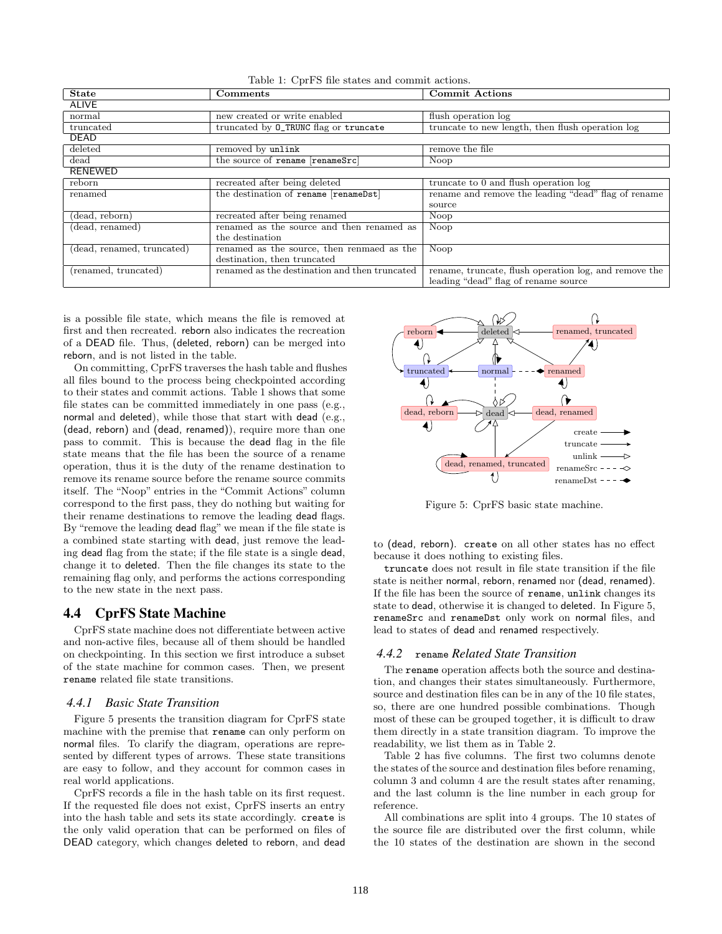| <b>State</b>               | Comments                                      | <b>Commit Actions</b>                                 |  |  |  |
|----------------------------|-----------------------------------------------|-------------------------------------------------------|--|--|--|
| ALIVE                      |                                               |                                                       |  |  |  |
| normal                     | new created or write enabled                  | flush operation log                                   |  |  |  |
| truncated                  | truncated by 0_TRUNC flag or truncate         | truncate to new length, then flush operation log      |  |  |  |
| <b>DEAD</b>                |                                               |                                                       |  |  |  |
| deleted                    | removed by unlink                             | remove the file                                       |  |  |  |
| dead                       | the source of rename [renameSrc]              | Noop                                                  |  |  |  |
| <b>RENEWED</b>             |                                               |                                                       |  |  |  |
| reborn                     | recreated after being deleted                 | truncate to 0 and flush operation log                 |  |  |  |
| renamed                    | the destination of rename [renameDst]         | rename and remove the leading "dead" flag of rename   |  |  |  |
|                            |                                               | source                                                |  |  |  |
| (dead, reborn)             | recreated after being renamed                 | Noop                                                  |  |  |  |
| (dead, renamed)            | renamed as the source and then renamed as     | Noop                                                  |  |  |  |
|                            | the destination                               |                                                       |  |  |  |
| (dead, renamed, truncated) | renamed as the source, then renmaed as the    | Noop                                                  |  |  |  |
|                            | destination, then truncated                   |                                                       |  |  |  |
| (renamed, truncated)       | renamed as the destination and then truncated | rename, truncate, flush operation log, and remove the |  |  |  |
|                            |                                               | leading "dead" flag of rename source                  |  |  |  |

Table 1: CprFS file states and commit actions.

is a possible file state, which means the file is removed at first and then recreated. reborn also indicates the recreation of a DEAD file. Thus, (deleted, reborn) can be merged into reborn, and is not listed in the table.

On committing, CprFS traverses the hash table and flushes all files bound to the process being checkpointed according to their states and commit actions. Table 1 shows that some file states can be committed immediately in one pass (e.g., normal and deleted), while those that start with dead (e.g., (dead, reborn) and (dead, renamed)), require more than one pass to commit. This is because the dead flag in the file state means that the file has been the source of a rename operation, thus it is the duty of the rename destination to remove its rename source before the rename source commits itself. The "Noop" entries in the "Commit Actions" column correspond to the first pass, they do nothing but waiting for their rename destinations to remove the leading dead flags. By "remove the leading dead flag" we mean if the file state is a combined state starting with dead, just remove the leading dead flag from the state; if the file state is a single dead, change it to deleted. Then the file changes its state to the remaining flag only, and performs the actions corresponding to the new state in the next pass.

## 4.4 CprFS State Machine

CprFS state machine does not differentiate between active and non-active files, because all of them should be handled on checkpointing. In this section we first introduce a subset of the state machine for common cases. Then, we present rename related file state transitions.

#### *4.4.1 Basic State Transition*

Figure 5 presents the transition diagram for CprFS state machine with the premise that rename can only perform on normal files. To clarify the diagram, operations are represented by different types of arrows. These state transitions are easy to follow, and they account for common cases in real world applications.

CprFS records a file in the hash table on its first request. If the requested file does not exist, CprFS inserts an entry into the hash table and sets its state accordingly. create is the only valid operation that can be performed on files of DEAD category, which changes deleted to reborn, and dead



Figure 5: CprFS basic state machine.

to (dead, reborn). create on all other states has no effect because it does nothing to existing files.

truncate does not result in file state transition if the file state is neither normal, reborn, renamed nor (dead, renamed). If the file has been the source of rename, unlink changes its state to dead, otherwise it is changed to deleted. In Figure 5, renameSrc and renameDst only work on normal files, and lead to states of dead and renamed respectively.

#### *4.4.2* rename *Related State Transition*

The rename operation affects both the source and destination, and changes their states simultaneously. Furthermore, source and destination files can be in any of the 10 file states, so, there are one hundred possible combinations. Though most of these can be grouped together, it is difficult to draw them directly in a state transition diagram. To improve the readability, we list them as in Table 2.

Table 2 has five columns. The first two columns denote the states of the source and destination files before renaming, column 3 and column 4 are the result states after renaming, and the last column is the line number in each group for reference.

All combinations are split into 4 groups. The 10 states of the source file are distributed over the first column, while the 10 states of the destination are shown in the second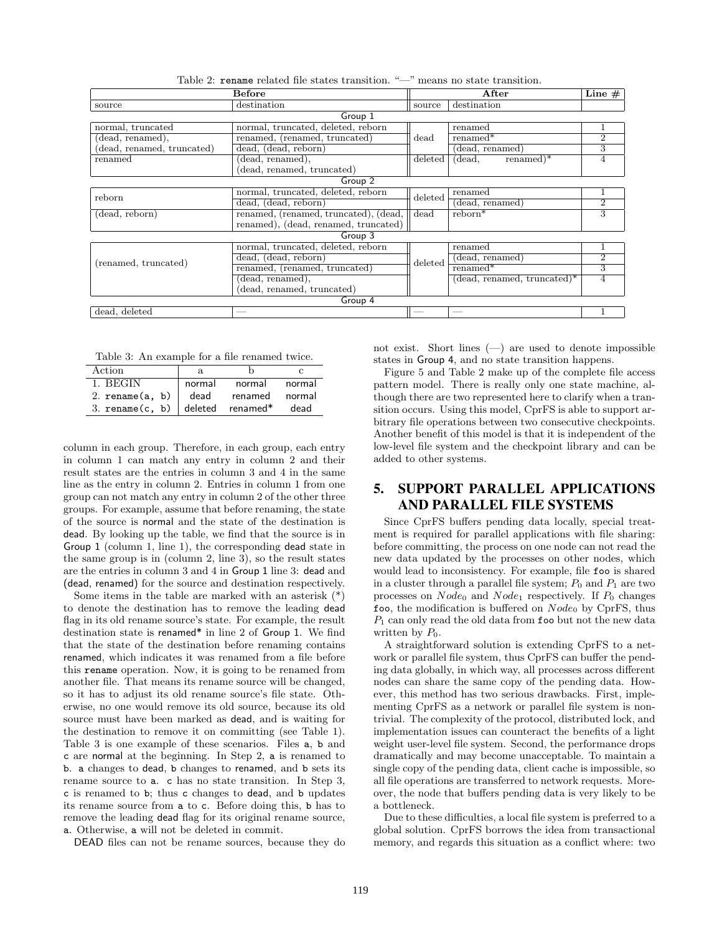| <b>Before</b>                                           |                                      |                       | After<br>Line $#$           |                |  |
|---------------------------------------------------------|--------------------------------------|-----------------------|-----------------------------|----------------|--|
| source                                                  | destination                          | destination<br>source |                             |                |  |
|                                                         | Group 1                              |                       |                             |                |  |
| normal, truncated                                       | normal, truncated, deleted, reborn   |                       | renamed                     |                |  |
| (dead, renamed),                                        | renamed, (renamed, truncated)        | dead                  | renamed <sup>*</sup>        | $\overline{2}$ |  |
| (dead, renamed, truncated)                              | dead, (dead, reborn)                 |                       | (dead, renamed)             | 3              |  |
| renamed                                                 | (dead, renamed),                     | deleted               | renamed) $*$<br>(dead,      | 4              |  |
|                                                         | (dead, renamed, truncated)           |                       |                             |                |  |
|                                                         | Group 2                              |                       |                             |                |  |
| reborn                                                  | normal, truncated, deleted, reborn   |                       | renamed                     |                |  |
|                                                         | dead, (dead, reborn)                 | deleted               | (dead, renamed)             | $\overline{2}$ |  |
| renamed, (renamed, truncated), (dead,<br>(dead, reborn) |                                      | dead                  | $reborn*$                   | 3              |  |
|                                                         | renamed), (dead, renamed, truncated) |                       |                             |                |  |
|                                                         | Group 3                              |                       |                             |                |  |
|                                                         | normal, truncated, deleted, reborn   |                       | renamed                     |                |  |
| (renamed, truncated)                                    | dead, (dead, reborn)                 | deleted               | (dead, renamed)             | 2              |  |
|                                                         | renamed, (renamed, truncated)        |                       | $renamed^*$                 | 3              |  |
|                                                         | (dead, renamed),                     |                       | (dead, renamed, truncated)* | 4              |  |
|                                                         | (dead, renamed, truncated)           |                       |                             |                |  |
|                                                         | Group 4                              |                       |                             |                |  |
| dead, deleted                                           |                                      |                       | $\overline{\phantom{0}}$    |                |  |

Table 2: rename related file states transition. "—" means no state transition.

Table 3: An example for a file renamed twice.

| Action             | a.     |                  |        |
|--------------------|--------|------------------|--------|
| 1. BEGIN           | normal | normal           | normal |
| 2. rename $(a, b)$ | dead   | renamed          | normal |
| 3. rename $(c, b)$ |        | deleted renamed* | dead   |

column in each group. Therefore, in each group, each entry in column 1 can match any entry in column 2 and their result states are the entries in column 3 and 4 in the same line as the entry in column 2. Entries in column 1 from one group can not match any entry in column 2 of the other three groups. For example, assume that before renaming, the state of the source is normal and the state of the destination is dead. By looking up the table, we find that the source is in Group 1 (column 1, line 1), the corresponding dead state in the same group is in (column 2, line 3), so the result states are the entries in column 3 and 4 in Group 1 line 3: dead and (dead, renamed) for the source and destination respectively.

Some items in the table are marked with an asterisk (\*) to denote the destination has to remove the leading dead flag in its old rename source's state. For example, the result destination state is renamed\* in line 2 of Group 1. We find that the state of the destination before renaming contains renamed, which indicates it was renamed from a file before this rename operation. Now, it is going to be renamed from another file. That means its rename source will be changed, so it has to adjust its old rename source's file state. Otherwise, no one would remove its old source, because its old source must have been marked as dead, and is waiting for the destination to remove it on committing (see Table 1). Table 3 is one example of these scenarios. Files a, b and c are normal at the beginning. In Step 2, a is renamed to b. a changes to dead, b changes to renamed, and b sets its rename source to a. c has no state transition. In Step 3, c is renamed to b; thus c changes to dead, and b updates its rename source from a to c. Before doing this, b has to remove the leading dead flag for its original rename source, a. Otherwise, a will not be deleted in commit.

DEAD files can not be rename sources, because they do

not exist. Short lines  $(-)$  are used to denote impossible states in Group 4, and no state transition happens.

Figure 5 and Table 2 make up of the complete file access pattern model. There is really only one state machine, although there are two represented here to clarify when a transition occurs. Using this model, CprFS is able to support arbitrary file operations between two consecutive checkpoints. Another benefit of this model is that it is independent of the low-level file system and the checkpoint library and can be added to other systems.

# 5. SUPPORT PARALLEL APPLICATIONS AND PARALLEL FILE SYSTEMS

Since CprFS buffers pending data locally, special treatment is required for parallel applications with file sharing: before committing, the process on one node can not read the new data updated by the processes on other nodes, which would lead to inconsistency. For example, file foo is shared in a cluster through a parallel file system;  $P_0$  and  $P_1$  are two processes on  $Node_0$  and  $Node_1$  respectively. If  $P_0$  changes  $foo$ , the modification is buffered on  $Node_0$  by CprFS, thus  $P_1$  can only read the old data from foo but not the new data written by  $P_0$ .

A straightforward solution is extending CprFS to a network or parallel file system, thus CprFS can buffer the pending data globally, in which way, all processes across different nodes can share the same copy of the pending data. However, this method has two serious drawbacks. First, implementing CprFS as a network or parallel file system is nontrivial. The complexity of the protocol, distributed lock, and implementation issues can counteract the benefits of a light weight user-level file system. Second, the performance drops dramatically and may become unacceptable. To maintain a single copy of the pending data, client cache is impossible, so all file operations are transferred to network requests. Moreover, the node that buffers pending data is very likely to be a bottleneck.

Due to these difficulties, a local file system is preferred to a global solution. CprFS borrows the idea from transactional memory, and regards this situation as a conflict where: two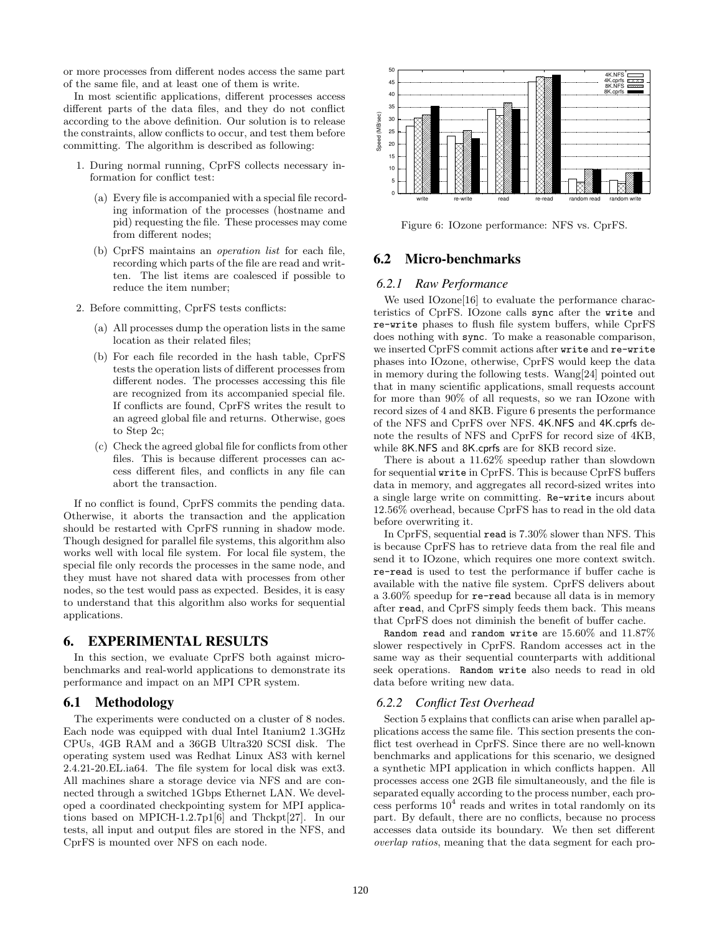or more processes from different nodes access the same part of the same file, and at least one of them is write.

In most scientific applications, different processes access different parts of the data files, and they do not conflict according to the above definition. Our solution is to release the constraints, allow conflicts to occur, and test them before committing. The algorithm is described as following:

- 1. During normal running, CprFS collects necessary information for conflict test:
	- (a) Every file is accompanied with a special file recording information of the processes (hostname and pid) requesting the file. These processes may come from different nodes;
	- (b) CprFS maintains an operation list for each file, recording which parts of the file are read and written. The list items are coalesced if possible to reduce the item number;
- 2. Before committing, CprFS tests conflicts:
	- (a) All processes dump the operation lists in the same location as their related files;
	- (b) For each file recorded in the hash table, CprFS tests the operation lists of different processes from different nodes. The processes accessing this file are recognized from its accompanied special file. If conflicts are found, CprFS writes the result to an agreed global file and returns. Otherwise, goes to Step 2c;
	- (c) Check the agreed global file for conflicts from other files. This is because different processes can access different files, and conflicts in any file can abort the transaction.

If no conflict is found, CprFS commits the pending data. Otherwise, it aborts the transaction and the application should be restarted with CprFS running in shadow mode. Though designed for parallel file systems, this algorithm also works well with local file system. For local file system, the special file only records the processes in the same node, and they must have not shared data with processes from other nodes, so the test would pass as expected. Besides, it is easy to understand that this algorithm also works for sequential applications.

# 6. EXPERIMENTAL RESULTS

In this section, we evaluate CprFS both against microbenchmarks and real-world applications to demonstrate its performance and impact on an MPI CPR system.

## 6.1 Methodology

The experiments were conducted on a cluster of 8 nodes. Each node was equipped with dual Intel Itanium2 1.3GHz CPUs, 4GB RAM and a 36GB Ultra320 SCSI disk. The operating system used was Redhat Linux AS3 with kernel 2.4.21-20.EL.ia64. The file system for local disk was ext3. All machines share a storage device via NFS and are connected through a switched 1Gbps Ethernet LAN. We developed a coordinated checkpointing system for MPI applications based on MPICH-1.2.7p1[6] and Thckpt[27]. In our tests, all input and output files are stored in the NFS, and CprFS is mounted over NFS on each node.



Figure 6: IOzone performance: NFS vs. CprFS.

# 6.2 Micro-benchmarks

#### *6.2.1 Raw Performance*

We used IOzone[16] to evaluate the performance characteristics of CprFS. IOzone calls sync after the write and re-write phases to flush file system buffers, while CprFS does nothing with sync. To make a reasonable comparison, we inserted CprFS commit actions after write and re-write phases into IOzone, otherwise, CprFS would keep the data in memory during the following tests. Wang[24] pointed out that in many scientific applications, small requests account for more than 90% of all requests, so we ran IOzone with record sizes of 4 and 8KB. Figure 6 presents the performance of the NFS and CprFS over NFS. 4K.NFS and 4K.cprfs denote the results of NFS and CprFS for record size of 4KB, while 8K.NFS and 8K.cprfs are for 8KB record size.

There is about a 11.62% speedup rather than slowdown for sequential write in CprFS. This is because CprFS buffers data in memory, and aggregates all record-sized writes into a single large write on committing. Re-write incurs about 12.56% overhead, because CprFS has to read in the old data before overwriting it.

In CprFS, sequential read is 7.30% slower than NFS. This is because CprFS has to retrieve data from the real file and send it to IOzone, which requires one more context switch. re-read is used to test the performance if buffer cache is available with the native file system. CprFS delivers about a 3.60% speedup for re-read because all data is in memory after read, and CprFS simply feeds them back. This means that CprFS does not diminish the benefit of buffer cache.

Random read and random write are 15.60% and 11.87% slower respectively in CprFS. Random accesses act in the same way as their sequential counterparts with additional seek operations. Random write also needs to read in old data before writing new data.

## *6.2.2 Conflict Test Overhead*

Section 5 explains that conflicts can arise when parallel applications access the same file. This section presents the conflict test overhead in CprFS. Since there are no well-known benchmarks and applications for this scenario, we designed a synthetic MPI application in which conflicts happen. All processes access one 2GB file simultaneously, and the file is separated equally according to the process number, each pro- $\cos$  performs  $10^4$  reads and writes in total randomly on its part. By default, there are no conflicts, because no process accesses data outside its boundary. We then set different overlap ratios, meaning that the data segment for each pro-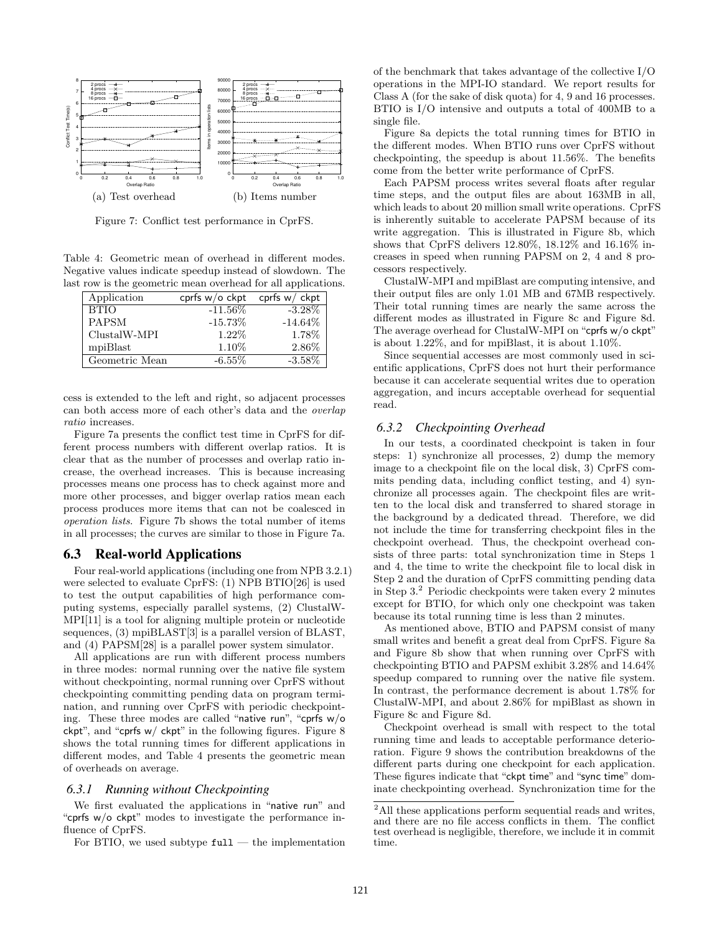

Figure 7: Conflict test performance in CprFS.

Table 4: Geometric mean of overhead in different modes. Negative values indicate speedup instead of slowdown. The last row is the geometric mean overhead for all applications.

| Application    | cprfs $w/o$ ckpt | cprfs $w/c$ kpt |
|----------------|------------------|-----------------|
| <b>BTIO</b>    | $-11.56\%$       | $-3.28\%$       |
| <b>PAPSM</b>   | $-15.73\%$       | $-14.64\%$      |
| ClustalW-MPI   | 1.22\%           | 1.78%           |
| mpiBlast       | 1.10%            | 2.86%           |
| Geometric Mean | $-6.55\%$        | $-3.58\%$       |

cess is extended to the left and right, so adjacent processes can both access more of each other's data and the overlap ratio increases.

Figure 7a presents the conflict test time in CprFS for different process numbers with different overlap ratios. It is clear that as the number of processes and overlap ratio increase, the overhead increases. This is because increasing processes means one process has to check against more and more other processes, and bigger overlap ratios mean each process produces more items that can not be coalesced in operation lists. Figure 7b shows the total number of items in all processes; the curves are similar to those in Figure 7a.

## 6.3 Real-world Applications

Four real-world applications (including one from NPB 3.2.1) were selected to evaluate CprFS: (1) NPB BTIO[26] is used to test the output capabilities of high performance computing systems, especially parallel systems, (2) ClustalW-MPI[11] is a tool for aligning multiple protein or nucleotide sequences, (3) mpiBLAST[3] is a parallel version of BLAST, and (4) PAPSM[28] is a parallel power system simulator.

All applications are run with different process numbers in three modes: normal running over the native file system without checkpointing, normal running over CprFS without checkpointing committing pending data on program termination, and running over CprFS with periodic checkpointing. These three modes are called "native run", "cprfs w/o ckpt", and "cprfs w/ ckpt" in the following figures. Figure 8 shows the total running times for different applications in different modes, and Table 4 presents the geometric mean of overheads on average.

#### *6.3.1 Running without Checkpointing*

We first evaluated the applications in "native run" and "cprfs w/o ckpt" modes to investigate the performance influence of CprFS.

For BTIO, we used subtype  $full$  — the implementation

of the benchmark that takes advantage of the collective I/O operations in the MPI-IO standard. We report results for Class A (for the sake of disk quota) for 4, 9 and 16 processes. BTIO is I/O intensive and outputs a total of 400MB to a single file.

Figure 8a depicts the total running times for BTIO in the different modes. When BTIO runs over CprFS without checkpointing, the speedup is about 11.56%. The benefits come from the better write performance of CprFS.

Each PAPSM process writes several floats after regular time steps, and the output files are about 163MB in all, which leads to about 20 million small write operations. CprFS is inherently suitable to accelerate PAPSM because of its write aggregation. This is illustrated in Figure 8b, which shows that CprFS delivers 12.80%, 18.12% and 16.16% increases in speed when running PAPSM on 2, 4 and 8 processors respectively.

ClustalW-MPI and mpiBlast are computing intensive, and their output files are only 1.01 MB and 67MB respectively. Their total running times are nearly the same across the different modes as illustrated in Figure 8c and Figure 8d. The average overhead for ClustalW-MPI on "cprfs w/o ckpt" is about 1.22%, and for mpiBlast, it is about 1.10%.

Since sequential accesses are most commonly used in scientific applications, CprFS does not hurt their performance because it can accelerate sequential writes due to operation aggregation, and incurs acceptable overhead for sequential read.

#### *6.3.2 Checkpointing Overhead*

In our tests, a coordinated checkpoint is taken in four steps: 1) synchronize all processes, 2) dump the memory image to a checkpoint file on the local disk, 3) CprFS commits pending data, including conflict testing, and 4) synchronize all processes again. The checkpoint files are written to the local disk and transferred to shared storage in the background by a dedicated thread. Therefore, we did not include the time for transferring checkpoint files in the checkpoint overhead. Thus, the checkpoint overhead consists of three parts: total synchronization time in Steps 1 and 4, the time to write the checkpoint file to local disk in Step 2 and the duration of CprFS committing pending data in Step 3.<sup>2</sup> Periodic checkpoints were taken every 2 minutes except for BTIO, for which only one checkpoint was taken because its total running time is less than 2 minutes.

As mentioned above, BTIO and PAPSM consist of many small writes and benefit a great deal from CprFS. Figure 8a and Figure 8b show that when running over CprFS with checkpointing BTIO and PAPSM exhibit 3.28% and 14.64% speedup compared to running over the native file system. In contrast, the performance decrement is about 1.78% for ClustalW-MPI, and about 2.86% for mpiBlast as shown in Figure 8c and Figure 8d.

Checkpoint overhead is small with respect to the total running time and leads to acceptable performance deterioration. Figure 9 shows the contribution breakdowns of the different parts during one checkpoint for each application. These figures indicate that "ckpt time" and "sync time" dominate checkpointing overhead. Synchronization time for the

<sup>&</sup>lt;sup>2</sup>All these applications perform sequential reads and writes, and there are no file access conflicts in them. The conflict test overhead is negligible, therefore, we include it in commit time.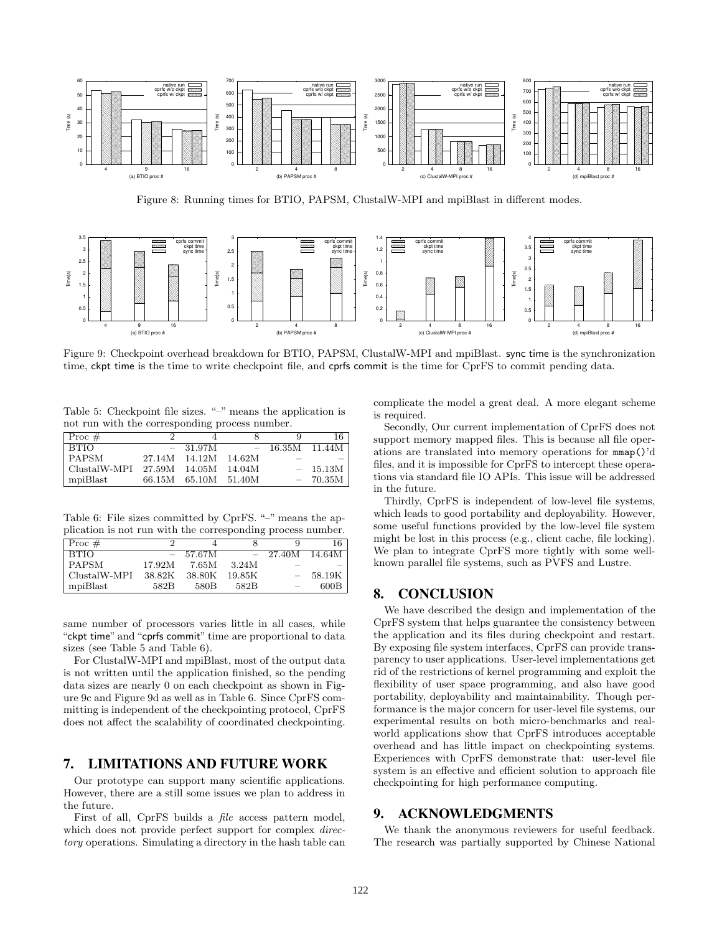

Figure 8: Running times for BTIO, PAPSM, ClustalW-MPI and mpiBlast in different modes.



Figure 9: Checkpoint overhead breakdown for BTIO, PAPSM, ClustalW-MPI and mpiBlast. sync time is the synchronization time, ckpt time is the time to write checkpoint file, and cprfs commit is the time for CprFS to commit pending data.

| Table 5: Checkpoint file sizes. "-" means the application is |  |  |  |
|--------------------------------------------------------------|--|--|--|
| not run with the corresponding process number.               |  |  |  |

| Proc $#$     | ٠,            |           | Χ      | Q         | 16 I   |
|--------------|---------------|-----------|--------|-----------|--------|
| <b>BTIO</b>  |               | $-31.97M$ |        | $-16.35M$ | 11.44M |
| <b>PAPSM</b> | 27.14M 14.12M |           | 14.62M |           |        |
| ClustalW-MPI | 27.59M 14.05M |           | 14.04M |           | 15.13M |
| mpiBlast     | 66.15M        | 65.10M    | 51.40M |           | 70.35M |

Table 6: File sizes committed by CprFS. "–" means the application is not run with the corresponding process number.

| Proc $#$     |                          |                  |                  | Q                        | 16                             |
|--------------|--------------------------|------------------|------------------|--------------------------|--------------------------------|
| <b>BTIO</b>  | $\overline{\phantom{m}}$ | 57.67M           |                  | $-27.40M$ 14.64M         |                                |
| <b>PAPSM</b> | 17.92M                   | 7.65M            | 3.24M            | $\overline{\phantom{a}}$ | $\qquad \qquad \longleftarrow$ |
| ClustalW-MPI | 38.82K                   | 38.80K           | 19.85K           |                          | 58.19K                         |
| mpiBlast     | 582B                     | 580 <sub>B</sub> | 582 <sub>B</sub> | -                        | 600B                           |

same number of processors varies little in all cases, while "ckpt time" and "cprfs commit" time are proportional to data sizes (see Table 5 and Table 6).

For ClustalW-MPI and mpiBlast, most of the output data is not written until the application finished, so the pending data sizes are nearly 0 on each checkpoint as shown in Figure 9c and Figure 9d as well as in Table 6. Since CprFS committing is independent of the checkpointing protocol, CprFS does not affect the scalability of coordinated checkpointing.

# 7. LIMITATIONS AND FUTURE WORK

Our prototype can support many scientific applications. However, there are a still some issues we plan to address in the future.

First of all, CprFS builds a file access pattern model, which does not provide perfect support for complex *direc*tory operations. Simulating a directory in the hash table can complicate the model a great deal. A more elegant scheme is required.

Secondly, Our current implementation of CprFS does not support memory mapped files. This is because all file operations are translated into memory operations for mmap()'d files, and it is impossible for CprFS to intercept these operations via standard file IO APIs. This issue will be addressed in the future.

Thirdly, CprFS is independent of low-level file systems, which leads to good portability and deployability. However, some useful functions provided by the low-level file system might be lost in this process (e.g., client cache, file locking). We plan to integrate CprFS more tightly with some wellknown parallel file systems, such as PVFS and Lustre.

## 8. CONCLUSION

We have described the design and implementation of the CprFS system that helps guarantee the consistency between the application and its files during checkpoint and restart. By exposing file system interfaces, CprFS can provide transparency to user applications. User-level implementations get rid of the restrictions of kernel programming and exploit the flexibility of user space programming, and also have good portability, deployability and maintainability. Though performance is the major concern for user-level file systems, our experimental results on both micro-benchmarks and realworld applications show that CprFS introduces acceptable overhead and has little impact on checkpointing systems. Experiences with CprFS demonstrate that: user-level file system is an effective and efficient solution to approach file checkpointing for high performance computing.

#### 9. ACKNOWLEDGMENTS

We thank the anonymous reviewers for useful feedback. The research was partially supported by Chinese National